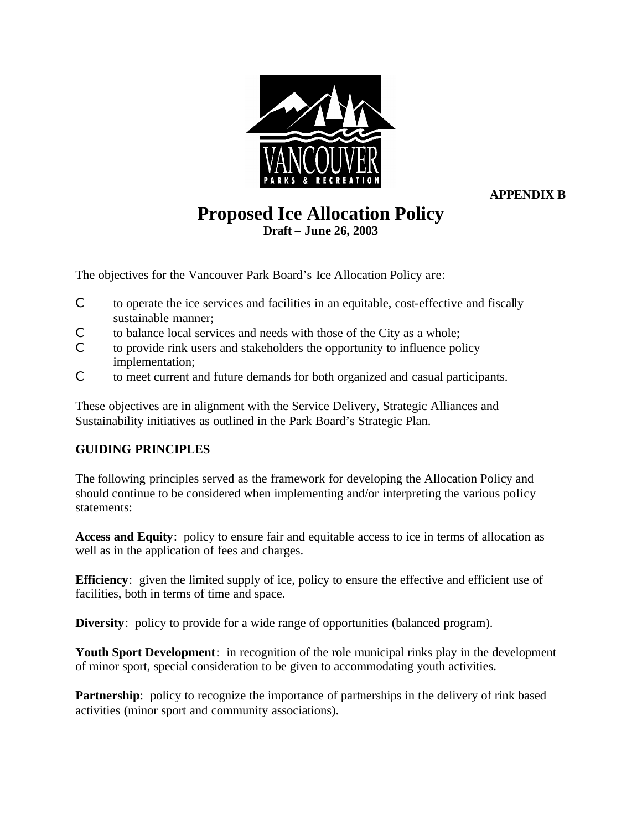

**APPENDIX B**

# **Proposed Ice Allocation Policy Draft – June 26, 2003**

The objectives for the Vancouver Park Board's Ice Allocation Policy are:

- C to operate the ice services and facilities in an equitable, cost-effective and fiscally sustainable manner;
- C to balance local services and needs with those of the City as a whole;
- C to provide rink users and stakeholders the opportunity to influence policy implementation;
- C to meet current and future demands for both organized and casual participants.

These objectives are in alignment with the Service Delivery, Strategic Alliances and Sustainability initiatives as outlined in the Park Board's Strategic Plan.

# **GUIDING PRINCIPLES**

The following principles served as the framework for developing the Allocation Policy and should continue to be considered when implementing and/or interpreting the various policy statements:

**Access and Equity**: policy to ensure fair and equitable access to ice in terms of allocation as well as in the application of fees and charges.

**Efficiency**: given the limited supply of ice, policy to ensure the effective and efficient use of facilities, both in terms of time and space.

**Diversity**: policy to provide for a wide range of opportunities (balanced program).

**Youth Sport Development**: in recognition of the role municipal rinks play in the development of minor sport, special consideration to be given to accommodating youth activities.

**Partnership**: policy to recognize the importance of partnerships in the delivery of rink based activities (minor sport and community associations).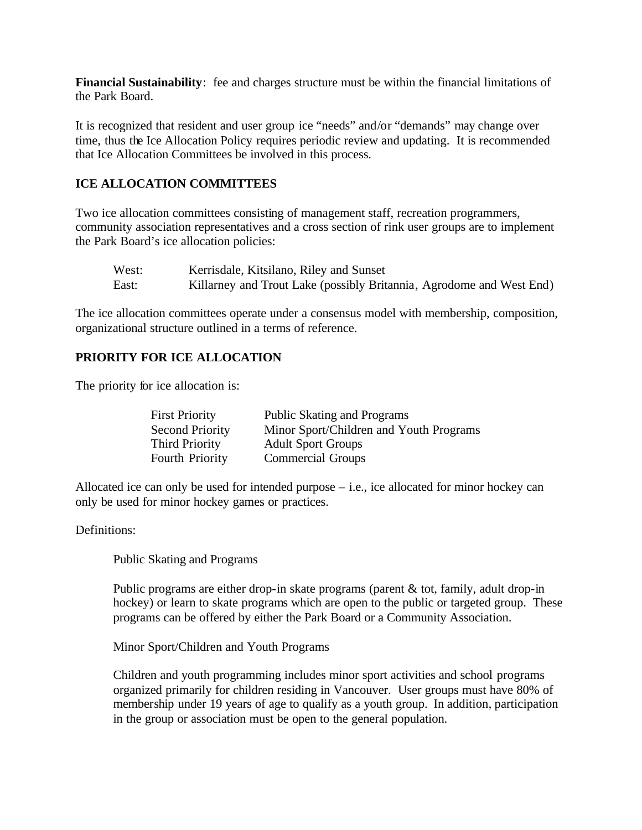**Financial Sustainability**: fee and charges structure must be within the financial limitations of the Park Board.

It is recognized that resident and user group ice "needs" and/or "demands" may change over time, thus the Ice Allocation Policy requires periodic review and updating. It is recommended that Ice Allocation Committees be involved in this process.

### **ICE ALLOCATION COMMITTEES**

Two ice allocation committees consisting of management staff, recreation programmers, community association representatives and a cross section of rink user groups are to implement the Park Board's ice allocation policies:

| West: | Kerrisdale, Kitsilano, Riley and Sunset                              |
|-------|----------------------------------------------------------------------|
| East: | Killarney and Trout Lake (possibly Britannia, Agrodome and West End) |

The ice allocation committees operate under a consensus model with membership, composition, organizational structure outlined in a terms of reference.

# **PRIORITY FOR ICE ALLOCATION**

The priority for ice allocation is:

| <b>First Priority</b>  | <b>Public Skating and Programs</b>      |
|------------------------|-----------------------------------------|
| <b>Second Priority</b> | Minor Sport/Children and Youth Programs |
| <b>Third Priority</b>  | <b>Adult Sport Groups</b>               |
| <b>Fourth Priority</b> | <b>Commercial Groups</b>                |

Allocated ice can only be used for intended purpose – i.e., ice allocated for minor hockey can only be used for minor hockey games or practices.

Definitions:

Public Skating and Programs

Public programs are either drop-in skate programs (parent & tot, family, adult drop-in hockey) or learn to skate programs which are open to the public or targeted group. These programs can be offered by either the Park Board or a Community Association.

Minor Sport/Children and Youth Programs

Children and youth programming includes minor sport activities and school programs organized primarily for children residing in Vancouver. User groups must have 80% of membership under 19 years of age to qualify as a youth group. In addition, participation in the group or association must be open to the general population.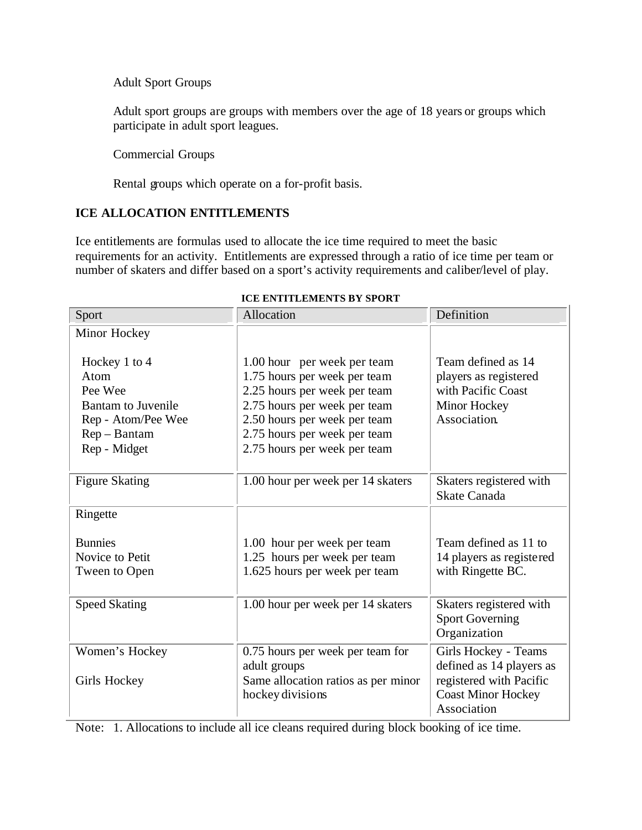Adult Sport Groups

Adult sport groups are groups with members over the age of 18 years or groups which participate in adult sport leagues.

Commercial Groups

Rental groups which operate on a for-profit basis.

# **ICE ALLOCATION ENTITLEMENTS**

Ice entitlements are formulas used to allocate the ice time required to meet the basic requirements for an activity. Entitlements are expressed through a ratio of ice time per team or number of skaters and differ based on a sport's activity requirements and caliber/level of play.

| Sport                                                                                                                 | Allocation                                                                                                                                                                                                                  | Definition                                                                                        |
|-----------------------------------------------------------------------------------------------------------------------|-----------------------------------------------------------------------------------------------------------------------------------------------------------------------------------------------------------------------------|---------------------------------------------------------------------------------------------------|
| Minor Hockey                                                                                                          |                                                                                                                                                                                                                             |                                                                                                   |
| Hockey 1 to 4<br>Atom<br>Pee Wee<br><b>Bantam to Juvenile</b><br>Rep - Atom/Pee Wee<br>$Rep - Bantam$<br>Rep - Midget | 1.00 hour per week per team<br>1.75 hours per week per team<br>2.25 hours per week per team<br>2.75 hours per week per team<br>2.50 hours per week per team<br>2.75 hours per week per team<br>2.75 hours per week per team | Team defined as 14<br>players as registered<br>with Pacific Coast<br>Minor Hockey<br>Association. |
| <b>Figure Skating</b>                                                                                                 | 1.00 hour per week per 14 skaters                                                                                                                                                                                           | Skaters registered with<br><b>Skate Canada</b>                                                    |
| Ringette                                                                                                              |                                                                                                                                                                                                                             |                                                                                                   |
| <b>Bunnies</b><br>Novice to Petit<br>Tween to Open                                                                    | 1.00 hour per week per team<br>1.25 hours per week per team<br>1.625 hours per week per team                                                                                                                                | Team defined as 11 to<br>14 players as registered<br>with Ringette BC.                            |
| <b>Speed Skating</b>                                                                                                  | 1.00 hour per week per 14 skaters                                                                                                                                                                                           | Skaters registered with<br><b>Sport Governing</b><br>Organization                                 |
| Women's Hockey                                                                                                        | 0.75 hours per week per team for<br>adult groups                                                                                                                                                                            | Girls Hockey - Teams<br>defined as 14 players as                                                  |
| Girls Hockey                                                                                                          | Same allocation ratios as per minor<br>hockey divisions                                                                                                                                                                     | registered with Pacific<br><b>Coast Minor Hockey</b><br>Association                               |

#### **ICE ENTITLEMENTS BY SPORT**

Note: 1. Allocations to include all ice cleans required during block booking of ice time.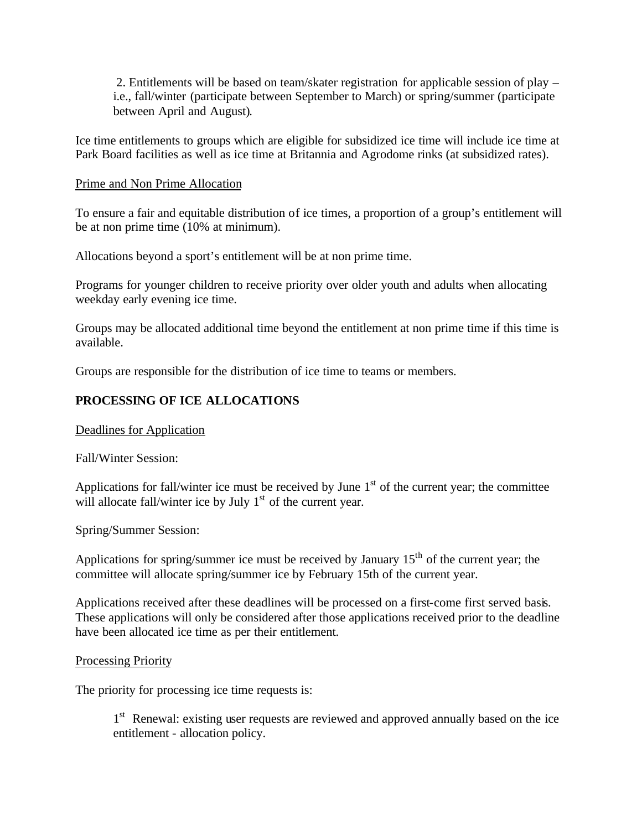2. Entitlements will be based on team/skater registration for applicable session of play – i.e., fall/winter (participate between September to March) or spring/summer (participate between April and August).

Ice time entitlements to groups which are eligible for subsidized ice time will include ice time at Park Board facilities as well as ice time at Britannia and Agrodome rinks (at subsidized rates).

### Prime and Non Prime Allocation

To ensure a fair and equitable distribution of ice times, a proportion of a group's entitlement will be at non prime time (10% at minimum).

Allocations beyond a sport's entitlement will be at non prime time.

Programs for younger children to receive priority over older youth and adults when allocating weekday early evening ice time.

Groups may be allocated additional time beyond the entitlement at non prime time if this time is available.

Groups are responsible for the distribution of ice time to teams or members.

### **PROCESSING OF ICE ALLOCATIONS**

Deadlines for Application

Fall/Winter Session:

Applications for fall/winter ice must be received by June  $1<sup>st</sup>$  of the current year; the committee will allocate fall/winter ice by July  $1<sup>st</sup>$  of the current year.

Spring/Summer Session:

Applications for spring/summer ice must be received by January  $15<sup>th</sup>$  of the current year; the committee will allocate spring/summer ice by February 15th of the current year.

Applications received after these deadlines will be processed on a first-come first served basis. These applications will only be considered after those applications received prior to the deadline have been allocated ice time as per their entitlement.

#### Processing Priority

The priority for processing ice time requests is:

1<sup>st</sup> Renewal: existing user requests are reviewed and approved annually based on the ice entitlement - allocation policy.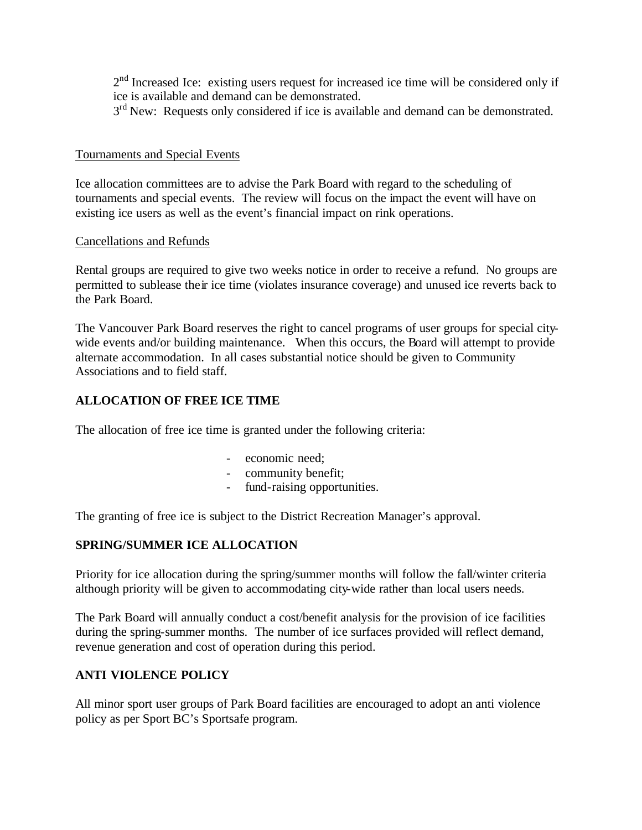2<sup>nd</sup> Increased Ice: existing users request for increased ice time will be considered only if ice is available and demand can be demonstrated.

3<sup>rd</sup> New: Requests only considered if ice is available and demand can be demonstrated.

### Tournaments and Special Events

Ice allocation committees are to advise the Park Board with regard to the scheduling of tournaments and special events. The review will focus on the impact the event will have on existing ice users as well as the event's financial impact on rink operations.

### Cancellations and Refunds

Rental groups are required to give two weeks notice in order to receive a refund. No groups are permitted to sublease their ice time (violates insurance coverage) and unused ice reverts back to the Park Board.

The Vancouver Park Board reserves the right to cancel programs of user groups for special citywide events and/or building maintenance. When this occurs, the Board will attempt to provide alternate accommodation. In all cases substantial notice should be given to Community Associations and to field staff.

# **ALLOCATION OF FREE ICE TIME**

The allocation of free ice time is granted under the following criteria:

- economic need;
- community benefit;
- fund-raising opportunities.

The granting of free ice is subject to the District Recreation Manager's approval.

# **SPRING/SUMMER ICE ALLOCATION**

Priority for ice allocation during the spring/summer months will follow the fall/winter criteria although priority will be given to accommodating city-wide rather than local users needs.

The Park Board will annually conduct a cost/benefit analysis for the provision of ice facilities during the spring-summer months. The number of ice surfaces provided will reflect demand, revenue generation and cost of operation during this period.

# **ANTI VIOLENCE POLICY**

All minor sport user groups of Park Board facilities are encouraged to adopt an anti violence policy as per Sport BC's Sportsafe program.